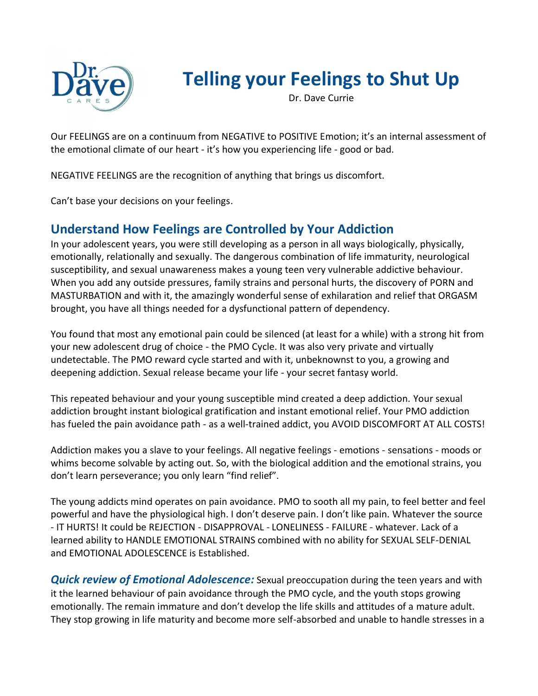

# **Telling your Feelings to Shut Up**

Dr. Dave Currie

Our FEELINGS are on a continuum from NEGATIVE to POSITIVE Emotion; it's an internal assessment of the emotional climate of our heart - it's how you experiencing life - good or bad.

NEGATIVE FEELINGS are the recognition of anything that brings us discomfort.

Can't base your decisions on your feelings.

## **Understand How Feelings are Controlled by Your Addiction**

In your adolescent years, you were still developing as a person in all ways biologically, physically, emotionally, relationally and sexually. The dangerous combination of life immaturity, neurological susceptibility, and sexual unawareness makes a young teen very vulnerable addictive behaviour. When you add any outside pressures, family strains and personal hurts, the discovery of PORN and MASTURBATION and with it, the amazingly wonderful sense of exhilaration and relief that ORGASM brought, you have all things needed for a dysfunctional pattern of dependency.

You found that most any emotional pain could be silenced (at least for a while) with a strong hit from your new adolescent drug of choice - the PMO Cycle. It was also very private and virtually undetectable. The PMO reward cycle started and with it, unbeknownst to you, a growing and deepening addiction. Sexual release became your life - your secret fantasy world.

This repeated behaviour and your young susceptible mind created a deep addiction. Your sexual addiction brought instant biological gratification and instant emotional relief. Your PMO addiction has fueled the pain avoidance path - as a well-trained addict, you AVOID DISCOMFORT AT ALL COSTS!

Addiction makes you a slave to your feelings. All negative feelings - emotions - sensations - moods or whims become solvable by acting out. So, with the biological addition and the emotional strains, you don't learn perseverance; you only learn "find relief".

The young addicts mind operates on pain avoidance. PMO to sooth all my pain, to feel better and feel powerful and have the physiological high. I don't deserve pain. I don't like pain. Whatever the source - IT HURTS! It could be REJECTION - DISAPPROVAL - LONELINESS - FAILURE - whatever. Lack of a learned ability to HANDLE EMOTIONAL STRAINS combined with no ability for SEXUAL SELF-DENIAL and EMOTIONAL ADOLESCENCE is Established.

*Quick review of Emotional Adolescence:* Sexual preoccupation during the teen years and with it the learned behaviour of pain avoidance through the PMO cycle, and the youth stops growing emotionally. The remain immature and don't develop the life skills and attitudes of a mature adult. They stop growing in life maturity and become more self-absorbed and unable to handle stresses in a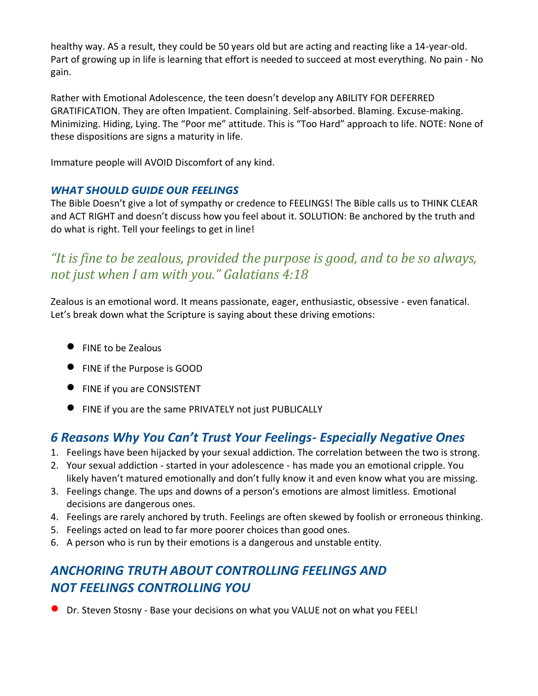healthy way. AS a result, they could be 50 years old but are acting and reacting like a 14-year-old. Part of growing up in life is learning that effort is needed to succeed at most everything. No pain - No gain.

Rather with Emotional Adolescence, the teen doesn't develop any ABILITY FOR DEFERRED GRATIFICATION. They are often Impatient. Complaining. Self-absorbed. Blaming. Excuse-making. Minimizing. Hiding, Lying. The "Poor me" attitude. This is "Too Hard" approach to life. NOTE: None of these dispositions are signs a maturity in life.

Immature people will AVOID Discomfort of any kind.

#### *WHAT SHOULD GUIDE OUR FEELINGS*

The Bible Doesn't give a lot of sympathy or credence to FEELINGS! The Bible calls us to THINK CLEAR and ACT RIGHT and doesn't discuss how you feel about it. SOLUTION: Be anchored by the truth and do what is right. Tell your feelings to get in line!

# *"It is fine to be zealous, provided the purpose is good, and to be so always, not just when I am with you." Galatians 4:18*

Zealous is an emotional word. It means passionate, eager, enthusiastic, obsessive - even fanatical. Let's break down what the Scripture is saying about these driving emotions:

- FINE to be Zealous
- FINE if the Purpose is GOOD
- FINE if you are CONSISTENT
- FINE if you are the same PRIVATELY not just PUBLICALLY

## *6 Reasons Why You Can't Trust Your Feelings- Especially Negative Ones*

- 1. Feelings have been hijacked by your sexual addiction. The correlation between the two is strong.
- 2. Your sexual addiction started in your adolescence has made you an emotional cripple. You likely haven't matured emotionally and don't fully know it and even know what you are missing.
- 3. Feelings change. The ups and downs of a person's emotions are almost limitless. Emotional decisions are dangerous ones.
- 4. Feelings are rarely anchored by truth. Feelings are often skewed by foolish or erroneous thinking.
- 5. Feelings acted on lead to far more poorer choices than good ones.
- 6. A person who is run by their emotions is a dangerous and unstable entity.

# *ANCHORING TRUTH ABOUT CONTROLLING FEELINGS AND NOT FEELINGS CONTROLLING YOU*

• Dr. Steven Stosny - Base your decisions on what you VALUE not on what you FEEL!